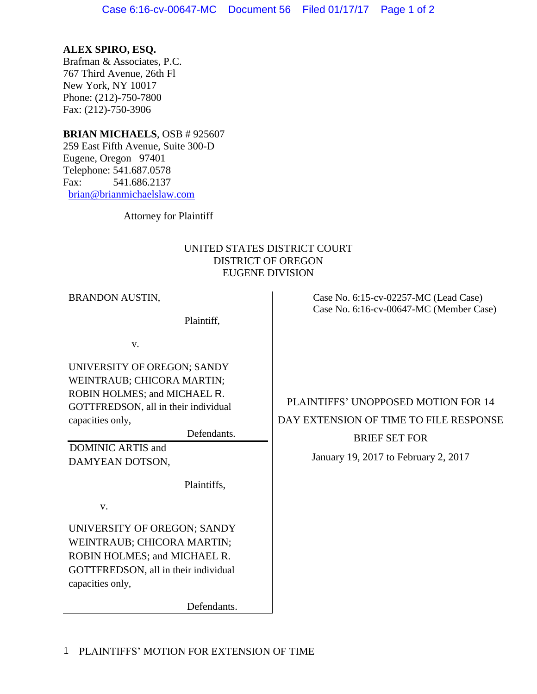## **ALEX SPIRO, ESQ.**

Brafman & Associates, P.C. 767 Third Avenue, 26th Fl New York, NY 10017 Phone: (212)-750-7800 Fax: (212)-750-3906

## **BRIAN MICHAELS**, OSB # 925607

259 East Fifth Avenue, Suite 300-D Eugene, Oregon 97401 Telephone: 541.687.0578 Fax: 541.686.2137 [brian@brianmichaelslaw.com](mailto:brian@brianmichaelslaw.com)

Attorney for Plaintiff

## UNITED STATES DISTRICT COURT DISTRICT OF OREGON EUGENE DIVISION

| <b>BRANDON AUSTIN,</b><br>Plaintiff,                                                                                                                                                                                      | Case No. 6:15-cv-02257-MC (Lead Case)<br>Case No. 6:16-cv-00647-MC (Member Case)                                                              |
|---------------------------------------------------------------------------------------------------------------------------------------------------------------------------------------------------------------------------|-----------------------------------------------------------------------------------------------------------------------------------------------|
| V.<br>UNIVERSITY OF OREGON; SANDY<br>WEINTRAUB; CHICORA MARTIN;<br>ROBIN HOLMES; and MICHAEL R.<br>GOTTFREDSON, all in their individual<br>capacities only,<br>Defendants.<br><b>DOMINIC ARTIS and</b><br>DAMYEAN DOTSON, | PLAINTIFFS' UNOPPOSED MOTION FOR 14<br>DAY EXTENSION OF TIME TO FILE RESPONSE<br><b>BRIEF SET FOR</b><br>January 19, 2017 to February 2, 2017 |
| Plaintiffs,<br>V.<br>UNIVERSITY OF OREGON; SANDY<br>WEINTRAUB; CHICORA MARTIN;<br>ROBIN HOLMES; and MICHAEL R.<br>GOTTFREDSON, all in their individual<br>capacities only,                                                |                                                                                                                                               |

Defendants.